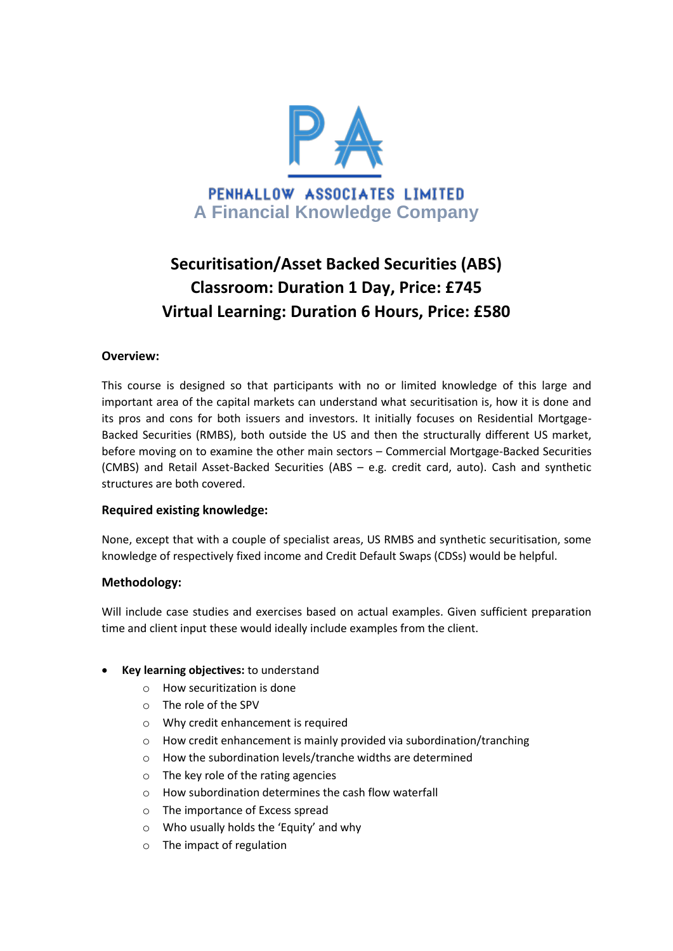

# **Securitisation/Asset Backed Securities (ABS) Classroom: Duration 1 Day, Price: £745 Virtual Learning: Duration 6 Hours, Price: £580**

#### **Overview:**

This course is designed so that participants with no or limited knowledge of this large and important area of the capital markets can understand what securitisation is, how it is done and its pros and cons for both issuers and investors. It initially focuses on Residential Mortgage-Backed Securities (RMBS), both outside the US and then the structurally different US market, before moving on to examine the other main sectors – Commercial Mortgage-Backed Securities (CMBS) and Retail Asset-Backed Securities (ABS – e.g. credit card, auto). Cash and synthetic structures are both covered.

## **Required existing knowledge:**

None, except that with a couple of specialist areas, US RMBS and synthetic securitisation, some knowledge of respectively fixed income and Credit Default Swaps (CDSs) would be helpful.

## **Methodology:**

Will include case studies and exercises based on actual examples. Given sufficient preparation time and client input these would ideally include examples from the client.

- **Key learning objectives:** to understand
	- o How securitization is done
	- o The role of the SPV
	- o Why credit enhancement is required
	- o How credit enhancement is mainly provided via subordination/tranching
	- o How the subordination levels/tranche widths are determined
	- o The key role of the rating agencies
	- o How subordination determines the cash flow waterfall
	- o The importance of Excess spread
	- o Who usually holds the 'Equity' and why
	- o The impact of regulation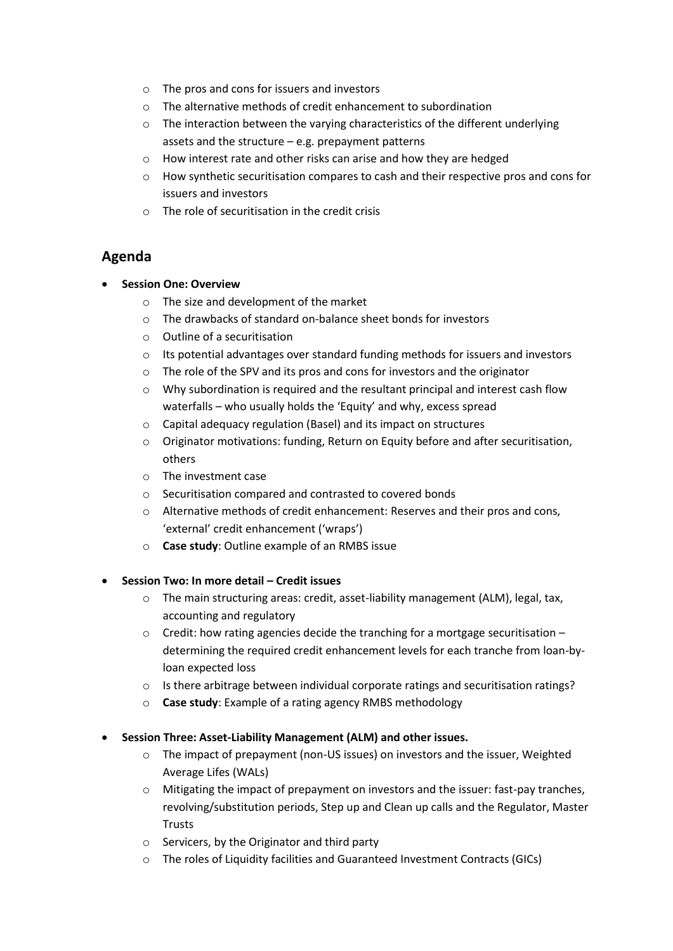- o The pros and cons for issuers and investors
- o The alternative methods of credit enhancement to subordination
- o The interaction between the varying characteristics of the different underlying assets and the structure – e.g. prepayment patterns
- o How interest rate and other risks can arise and how they are hedged
- o How synthetic securitisation compares to cash and their respective pros and cons for issuers and investors
- $\circ$  The role of securitisation in the credit crisis

# **Agenda**

## **Session One: Overview**

- o The size and development of the market
- o The drawbacks of standard on-balance sheet bonds for investors
- o Outline of a securitisation
- $\circ$  Its potential advantages over standard funding methods for issuers and investors
- o The role of the SPV and its pros and cons for investors and the originator
- $\circ$  Why subordination is required and the resultant principal and interest cash flow waterfalls – who usually holds the 'Equity' and why, excess spread
- o Capital adequacy regulation (Basel) and its impact on structures
- o Originator motivations: funding, Return on Equity before and after securitisation, others
- o The investment case
- o Securitisation compared and contrasted to covered bonds
- o Alternative methods of credit enhancement: Reserves and their pros and cons, 'external' credit enhancement ('wraps')
- o **Case study**: Outline example of an RMBS issue

## **Session Two: In more detail – Credit issues**

- o The main structuring areas: credit, asset-liability management (ALM), legal, tax, accounting and regulatory
- $\circ$  Credit: how rating agencies decide the tranching for a mortgage securitisation determining the required credit enhancement levels for each tranche from loan-byloan expected loss
- $\circ$  Is there arbitrage between individual corporate ratings and securitisation ratings?
- o **Case study**: Example of a rating agency RMBS methodology

## **Session Three: Asset-Liability Management (ALM) and other issues.**

- o The impact of prepayment (non-US issues) on investors and the issuer, Weighted Average Lifes (WALs)
- $\circ$  Mitigating the impact of prepayment on investors and the issuer: fast-pay tranches, revolving/substitution periods, Step up and Clean up calls and the Regulator, Master **Trusts**
- o Servicers, by the Originator and third party
- o The roles of Liquidity facilities and Guaranteed Investment Contracts (GICs)